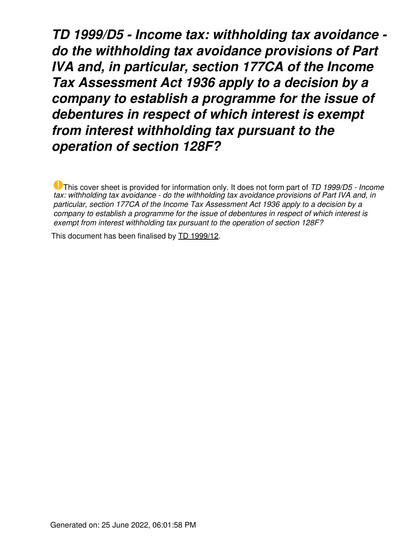*TD 1999/D5 - Income tax: withholding tax avoidance do the withholding tax avoidance provisions of Part IVA and, in particular, section 177CA of the Income Tax Assessment Act 1936 apply to a decision by a company to establish a programme for the issue of debentures in respect of which interest is exempt from interest withholding tax pursuant to the operation of section 128F?*

This cover sheet is provided for information only. It does not form part of *TD 1999/D5 - Income tax: withholding tax avoidance - do the withholding tax avoidance provisions of Part IVA and, in particular, section 177CA of the Income Tax Assessment Act 1936 apply to a decision by a company to establish a programme for the issue of debentures in respect of which interest is exempt from interest withholding tax pursuant to the operation of section 128F?*

This document has been finalised by [TD 1999/12](https://www.ato.gov.au/law/view/document?LocID=%22TXD%2FTD199912%2FNAT%2FATO%22&PiT=20160916000001).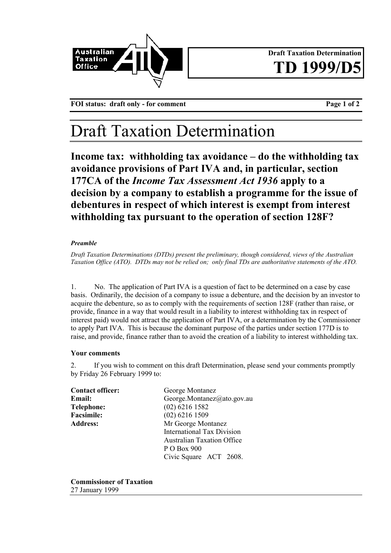

**Draft Taxation Determination** TD 1999

**FOI status: draft only - for comment Page 1 of 2**

## Draft Taxation Determination

**Income tax: withholding tax avoidance – do the withholding tax avoidance provisions of Part IVA and, in particular, section 177CA of the** *Income Tax Assessment Act 1936* **apply to a decision by a company to establish a programme for the issue of debentures in respect of which interest is exempt from interest withholding tax pursuant to the operation of section 128F?**

## *Preamble*

*Draft Taxation Determinations (DTDs) present the preliminary, though considered, views of the Australian Taxation Office (ATO). DTDs may not be relied on; only final TDs are authoritative statements of the ATO.*

1. No. The application of Part IVA is a question of fact to be determined on a case by case basis. Ordinarily, the decision of a company to issue a debenture, and the decision by an investor to acquire the debenture, so as to comply with the requirements of section 128F (rather than raise, or provide, finance in a way that would result in a liability to interest withholding tax in respect of interest paid) would not attract the application of Part IVA, or a determination by the Commissioner to apply Part IVA. This is because the dominant purpose of the parties under section 177D is to raise, and provide, finance rather than to avoid the creation of a liability to interest withholding tax.

## **Your comments**

2. If you wish to comment on this draft Determination, please send your comments promptly by Friday 26 February 1999 to:

| <b>Contact officer:</b> | George Montanez                   |
|-------------------------|-----------------------------------|
| <b>Email:</b>           | George.Montanez@ato.gov.au        |
| <b>Telephone:</b>       | $(02)$ 6216 1582                  |
| <b>Facsimile:</b>       | $(02)$ 6216 1509                  |
| <b>Address:</b>         | Mr George Montanez                |
|                         | <b>International Tax Division</b> |
|                         | <b>Australian Taxation Office</b> |
|                         | P O Box 900                       |
|                         | Civic Square ACT 2608.            |

**Commissioner of Taxation** 27 January 1999